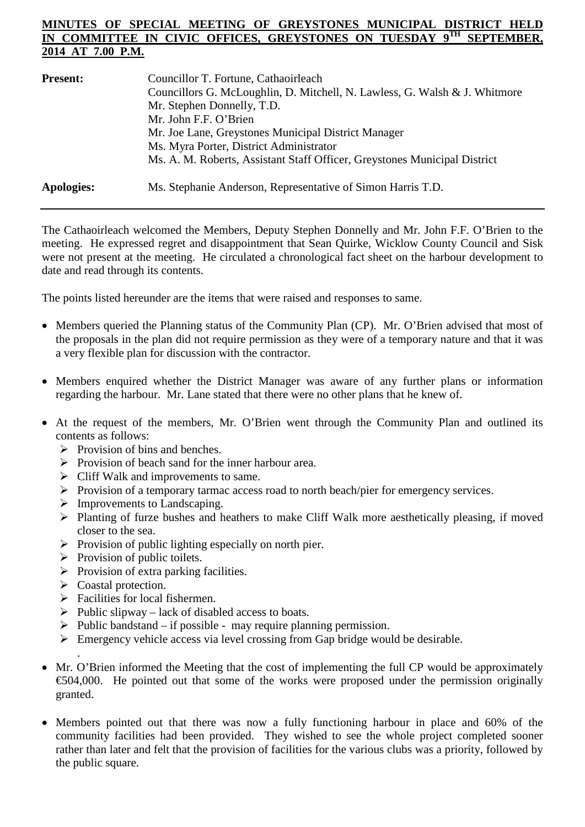## **MINUTES OF SPECIAL MEETING OF GREYSTONES MUNICIPAL DISTRICT IN COMMITTEE IN CIVIC OFFICES, GREYSTONES ON TUESDAY 9TH SEPTEMBER, 2014 AT 7.00 P.M.**

| <b>Present:</b>   | Councillor T. Fortune, Cathaoirleach<br>Councillors G. McLoughlin, D. Mitchell, N. Lawless, G. Walsh & J. Whitmore<br>Mr. Stephen Donnelly, T.D. |
|-------------------|--------------------------------------------------------------------------------------------------------------------------------------------------|
|                   | Mr. John F.F. O'Brien                                                                                                                            |
|                   | Mr. Joe Lane, Greystones Municipal District Manager                                                                                              |
|                   | Ms. Myra Porter, District Administrator                                                                                                          |
|                   | Ms. A. M. Roberts, Assistant Staff Officer, Greystones Municipal District                                                                        |
| <b>Apologies:</b> | Ms. Stephanie Anderson, Representative of Simon Harris T.D.                                                                                      |

The Cathaoirleach welcomed the Members, Deputy Stephen Donnelly and Mr. John F.F. O'Brien to the meeting. He expressed regret and disappointment that Sean Quirke, Wicklow County Council and Sisk were not present at the meeting. He circulated a chronological fact sheet on the harbour development to date and read through its contents.

The points listed hereunder are the items that were raised and responses to same.

- Members queried the Planning status of the Community Plan (CP). Mr. O'Brien advised that most of the proposals in the plan did not require permission as they were of a temporary nature and that it was a very flexible plan for discussion with the contractor.
- Members enquired whether the District Manager was aware of any further plans or information regarding the harbour. Mr. Lane stated that there were no other plans that he knew of.
- At the request of the members, Mr. O'Brien went through the Community Plan and outlined its contents as follows:
	- $\triangleright$  Provision of bins and benches.
	- $\triangleright$  Provision of beach sand for the inner harbour area.
	- $\triangleright$  Cliff Walk and improvements to same.
	- $\triangleright$  Provision of a temporary tarmac access road to north beach/pier for emergency services.
	- $\triangleright$  Improvements to Landscaping.
	- Planting of furze bushes and heathers to make Cliff Walk more aesthetically pleasing, if moved closer to the sea.
	- $\triangleright$  Provision of public lighting especially on north pier.
	- $\triangleright$  Provision of public toilets.
	- $\triangleright$  Provision of extra parking facilities.
	- $\triangleright$  Coastal protection.

.

- $\triangleright$  Facilities for local fishermen.
- $\triangleright$  Public slipway lack of disabled access to boats.
- $\triangleright$  Public bandstand if possible may require planning permission.
- $\triangleright$  Emergency vehicle access via level crossing from Gap bridge would be desirable.
- Mr. O'Brien informed the Meeting that the cost of implementing the full CP would be approximately  $\epsilon$ 504,000. He pointed out that some of the works were proposed under the permission originally granted.
- Members pointed out that there was now a fully functioning harbour in place and 60% of the community facilities had been provided. They wished to see the whole project completed sooner rather than later and felt that the provision of facilities for the various clubs was a priority, followed by the public square.